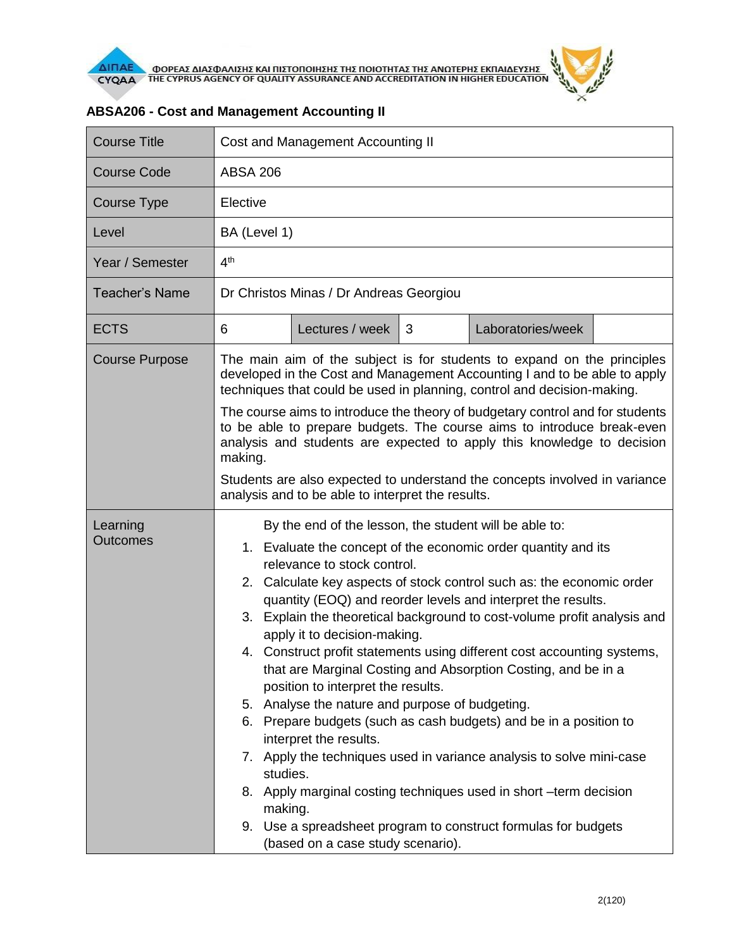

| <b>Course Title</b>         | Cost and Management Accounting II                                                                                                                                                                                                                                                                                                                                                                                                                                                                                                                                                                                                                                                                                                                                                                                                                                                                                                                                                                                              |  |  |  |
|-----------------------------|--------------------------------------------------------------------------------------------------------------------------------------------------------------------------------------------------------------------------------------------------------------------------------------------------------------------------------------------------------------------------------------------------------------------------------------------------------------------------------------------------------------------------------------------------------------------------------------------------------------------------------------------------------------------------------------------------------------------------------------------------------------------------------------------------------------------------------------------------------------------------------------------------------------------------------------------------------------------------------------------------------------------------------|--|--|--|
| <b>Course Code</b>          | <b>ABSA 206</b>                                                                                                                                                                                                                                                                                                                                                                                                                                                                                                                                                                                                                                                                                                                                                                                                                                                                                                                                                                                                                |  |  |  |
| Course Type                 | Elective                                                                                                                                                                                                                                                                                                                                                                                                                                                                                                                                                                                                                                                                                                                                                                                                                                                                                                                                                                                                                       |  |  |  |
| Level                       | BA (Level 1)                                                                                                                                                                                                                                                                                                                                                                                                                                                                                                                                                                                                                                                                                                                                                                                                                                                                                                                                                                                                                   |  |  |  |
| Year / Semester             | 4 <sup>th</sup>                                                                                                                                                                                                                                                                                                                                                                                                                                                                                                                                                                                                                                                                                                                                                                                                                                                                                                                                                                                                                |  |  |  |
| <b>Teacher's Name</b>       | Dr Christos Minas / Dr Andreas Georgiou                                                                                                                                                                                                                                                                                                                                                                                                                                                                                                                                                                                                                                                                                                                                                                                                                                                                                                                                                                                        |  |  |  |
| <b>ECTS</b>                 | Lectures / week<br>Laboratories/week<br>6<br>3                                                                                                                                                                                                                                                                                                                                                                                                                                                                                                                                                                                                                                                                                                                                                                                                                                                                                                                                                                                 |  |  |  |
| <b>Course Purpose</b>       | The main aim of the subject is for students to expand on the principles<br>developed in the Cost and Management Accounting I and to be able to apply<br>techniques that could be used in planning, control and decision-making.<br>The course aims to introduce the theory of budgetary control and for students<br>to be able to prepare budgets. The course aims to introduce break-even<br>analysis and students are expected to apply this knowledge to decision<br>making.<br>Students are also expected to understand the concepts involved in variance<br>analysis and to be able to interpret the results.                                                                                                                                                                                                                                                                                                                                                                                                             |  |  |  |
| Learning<br><b>Outcomes</b> | By the end of the lesson, the student will be able to:<br>1. Evaluate the concept of the economic order quantity and its<br>relevance to stock control.<br>Calculate key aspects of stock control such as: the economic order<br>2.<br>quantity (EOQ) and reorder levels and interpret the results.<br>3. Explain the theoretical background to cost-volume profit analysis and<br>apply it to decision-making.<br>4. Construct profit statements using different cost accounting systems,<br>that are Marginal Costing and Absorption Costing, and be in a<br>position to interpret the results.<br>5. Analyse the nature and purpose of budgeting.<br>6. Prepare budgets (such as cash budgets) and be in a position to<br>interpret the results.<br>7. Apply the techniques used in variance analysis to solve mini-case<br>studies.<br>8. Apply marginal costing techniques used in short -term decision<br>making.<br>9. Use a spreadsheet program to construct formulas for budgets<br>(based on a case study scenario). |  |  |  |

## **ABSA206 - Cost and Management Accounting II**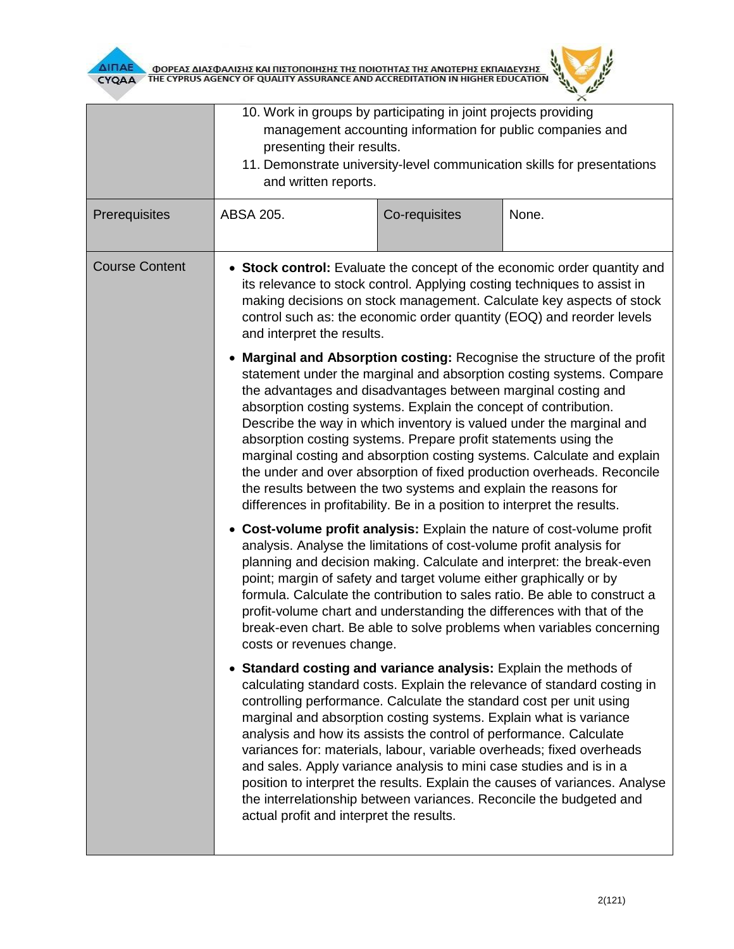



|                       | 10. Work in groups by participating in joint projects providing<br>presenting their results.<br>and written reports.                                                                                                                                                                                                                                                                                                                                                                                                                                                                                                                                                                                                              | management accounting information for public companies and | 11. Demonstrate university-level communication skills for presentations                                                                                                                                                                                                                                                                                                         |  |  |
|-----------------------|-----------------------------------------------------------------------------------------------------------------------------------------------------------------------------------------------------------------------------------------------------------------------------------------------------------------------------------------------------------------------------------------------------------------------------------------------------------------------------------------------------------------------------------------------------------------------------------------------------------------------------------------------------------------------------------------------------------------------------------|------------------------------------------------------------|---------------------------------------------------------------------------------------------------------------------------------------------------------------------------------------------------------------------------------------------------------------------------------------------------------------------------------------------------------------------------------|--|--|
| Prerequisites         | ABSA 205.                                                                                                                                                                                                                                                                                                                                                                                                                                                                                                                                                                                                                                                                                                                         | Co-requisites                                              | None.                                                                                                                                                                                                                                                                                                                                                                           |  |  |
| <b>Course Content</b> | • Stock control: Evaluate the concept of the economic order quantity and<br>its relevance to stock control. Applying costing techniques to assist in<br>making decisions on stock management. Calculate key aspects of stock<br>control such as: the economic order quantity (EOQ) and reorder levels<br>and interpret the results.                                                                                                                                                                                                                                                                                                                                                                                               |                                                            |                                                                                                                                                                                                                                                                                                                                                                                 |  |  |
|                       | Marginal and Absorption costing: Recognise the structure of the profit<br>statement under the marginal and absorption costing systems. Compare<br>the advantages and disadvantages between marginal costing and<br>absorption costing systems. Explain the concept of contribution.<br>Describe the way in which inventory is valued under the marginal and<br>absorption costing systems. Prepare profit statements using the<br>marginal costing and absorption costing systems. Calculate and explain<br>the under and over absorption of fixed production overheads. Reconcile<br>the results between the two systems and explain the reasons for<br>differences in profitability. Be in a position to interpret the results. |                                                            |                                                                                                                                                                                                                                                                                                                                                                                 |  |  |
|                       | analysis. Analyse the limitations of cost-volume profit analysis for<br>point; margin of safety and target volume either graphically or by<br>costs or revenues change.                                                                                                                                                                                                                                                                                                                                                                                                                                                                                                                                                           |                                                            | Cost-volume profit analysis: Explain the nature of cost-volume profit<br>planning and decision making. Calculate and interpret: the break-even<br>formula. Calculate the contribution to sales ratio. Be able to construct a<br>profit-volume chart and understanding the differences with that of the<br>break-even chart. Be able to solve problems when variables concerning |  |  |
|                       | • Standard costing and variance analysis: Explain the methods of<br>controlling performance. Calculate the standard cost per unit using<br>marginal and absorption costing systems. Explain what is variance<br>analysis and how its assists the control of performance. Calculate<br>and sales. Apply variance analysis to mini case studies and is in a<br>actual profit and interpret the results.                                                                                                                                                                                                                                                                                                                             |                                                            | calculating standard costs. Explain the relevance of standard costing in<br>variances for: materials, labour, variable overheads; fixed overheads<br>position to interpret the results. Explain the causes of variances. Analyse<br>the interrelationship between variances. Reconcile the budgeted and                                                                         |  |  |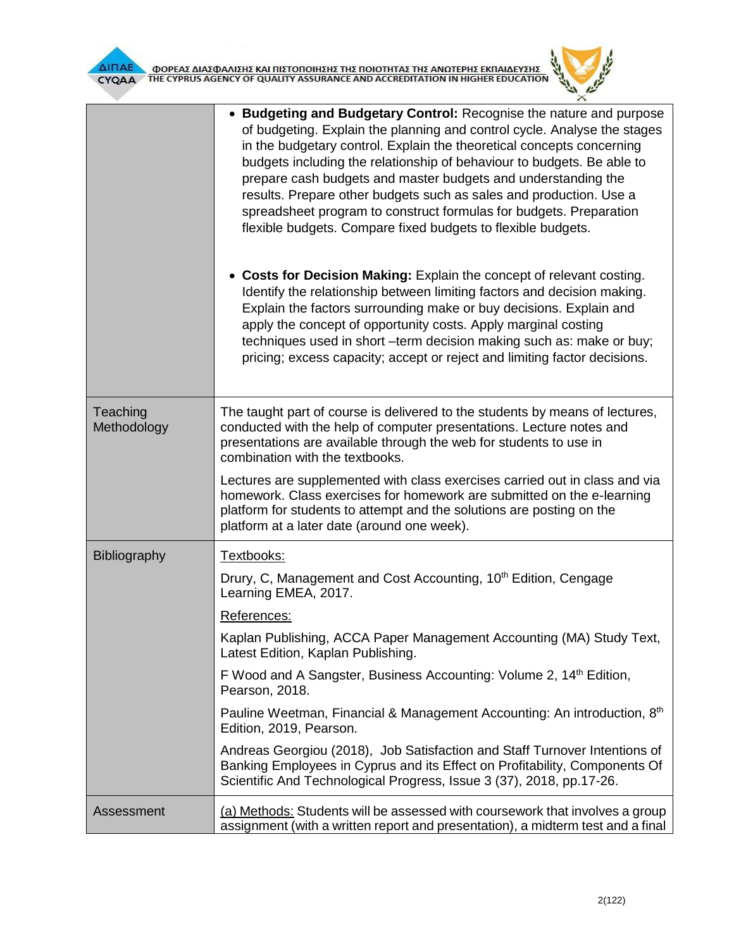

|                         | • Budgeting and Budgetary Control: Recognise the nature and purpose<br>of budgeting. Explain the planning and control cycle. Analyse the stages<br>in the budgetary control. Explain the theoretical concepts concerning<br>budgets including the relationship of behaviour to budgets. Be able to<br>prepare cash budgets and master budgets and understanding the<br>results. Prepare other budgets such as sales and production. Use a<br>spreadsheet program to construct formulas for budgets. Preparation<br>flexible budgets. Compare fixed budgets to flexible budgets. |
|-------------------------|---------------------------------------------------------------------------------------------------------------------------------------------------------------------------------------------------------------------------------------------------------------------------------------------------------------------------------------------------------------------------------------------------------------------------------------------------------------------------------------------------------------------------------------------------------------------------------|
|                         | • Costs for Decision Making: Explain the concept of relevant costing.<br>Identify the relationship between limiting factors and decision making.<br>Explain the factors surrounding make or buy decisions. Explain and<br>apply the concept of opportunity costs. Apply marginal costing<br>techniques used in short -term decision making such as: make or buy;<br>pricing; excess capacity; accept or reject and limiting factor decisions.                                                                                                                                   |
| Teaching<br>Methodology | The taught part of course is delivered to the students by means of lectures,<br>conducted with the help of computer presentations. Lecture notes and<br>presentations are available through the web for students to use in<br>combination with the textbooks.                                                                                                                                                                                                                                                                                                                   |
|                         | Lectures are supplemented with class exercises carried out in class and via<br>homework. Class exercises for homework are submitted on the e-learning<br>platform for students to attempt and the solutions are posting on the<br>platform at a later date (around one week).                                                                                                                                                                                                                                                                                                   |
| <b>Bibliography</b>     | Textbooks:                                                                                                                                                                                                                                                                                                                                                                                                                                                                                                                                                                      |
|                         | Drury, C, Management and Cost Accounting, 10 <sup>th</sup> Edition, Cengage<br>Learning EMEA, 2017.                                                                                                                                                                                                                                                                                                                                                                                                                                                                             |
|                         | References:                                                                                                                                                                                                                                                                                                                                                                                                                                                                                                                                                                     |
|                         | Kaplan Publishing, ACCA Paper Management Accounting (MA) Study Text,<br>Latest Edition, Kaplan Publishing.                                                                                                                                                                                                                                                                                                                                                                                                                                                                      |
|                         | F Wood and A Sangster, Business Accounting: Volume 2, 14 <sup>th</sup> Edition,<br>Pearson, 2018.                                                                                                                                                                                                                                                                                                                                                                                                                                                                               |
|                         | Pauline Weetman, Financial & Management Accounting: An introduction, 8th<br>Edition, 2019, Pearson.                                                                                                                                                                                                                                                                                                                                                                                                                                                                             |
|                         | Andreas Georgiou (2018), Job Satisfaction and Staff Turnover Intentions of<br>Banking Employees in Cyprus and its Effect on Profitability, Components Of<br>Scientific And Technological Progress, Issue 3 (37), 2018, pp.17-26.                                                                                                                                                                                                                                                                                                                                                |